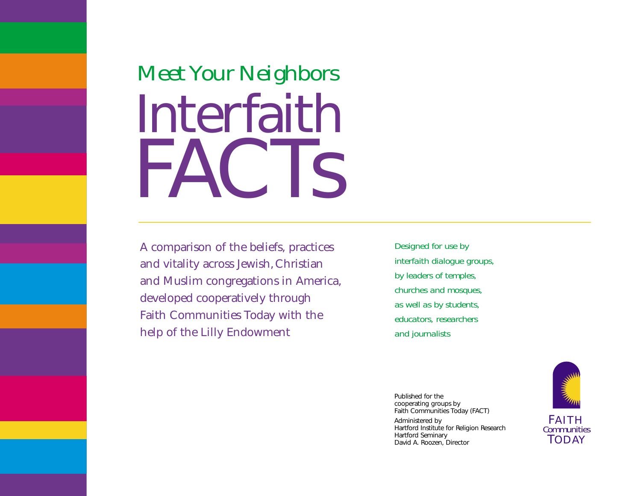# *Meet Your Neighbors* Interfaith FACTs

A comparison of the beliefs, practices and vitality across Jewish,Christian and Muslim congregations in America, developed cooperatively through Faith Communities Today with the help of the Lilly Endowment

*Designed for use by interfaith dialogue groups, by leaders of temples, churches and mosques, as well as by students, educators, researchers and journalists*

Published for the cooperating groups by Faith Communities Today (FACT)

Administered by Hartford Institute for Religion Research Hartford Seminary David A. Roozen, Director

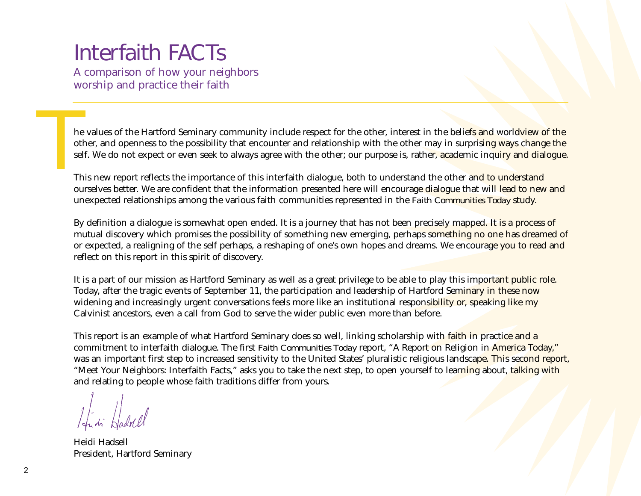# Interfaith FACTs

A comparison of how your neighbors worship and practice their faith

he values of the Hartford Seminary community include respect for the other, interest in the belie<mark>fs and</mark> world<mark>view of the</mark><br>other, and openness to the possibility that encounter and relationship with the other may in surp

This new report reflects the importance of this interfaith dialogue, both to understand the other and to understand ourselves better. We are confident that the information presented here will encourage dialogue that will lead to new and unexpected relationships among the various faith communities represented in the *Faith Communities Today* study.

By definition a dialogue is somewhat open ended. It is a journey that has not been precisely mapped. It is a process of mutual discovery which promises the possibility of something new emerging, perhaps something no one has dreamed of or expected, a realigning of the self perhaps, a reshaping of one's own hopes and dreams. We encourage you to read and reflect on this report in this spirit of discovery.

It is a part of our mission as Hartford Seminary as well as a great privilege to be able to play this important public role. Today, after the tragic events of September 11, the participation and leadership of Hartford Seminary in these now widening and increasingly urgent conversations feels more like an institutional responsibility or, speaking like my Calvinist ancestors, even a call from God to serve the wider public even more than before.

This report is an example of what Hartford Seminary does so well, linking scholarship with faith in practice and a commitment to interfaith dialogue. The first *Faith Communities Today* report, "A Report on Religion in America Today," was an important first step to increased sensitivity to the United States' pluralistic religious landscape. This second report, "Meet Your Neighbors: Interfaith Facts," asks you to take the next step, to open yourself to learning about, talking with and relating to people whose faith traditions differ from yours.

Heidi Hadsell President, Hartford Seminary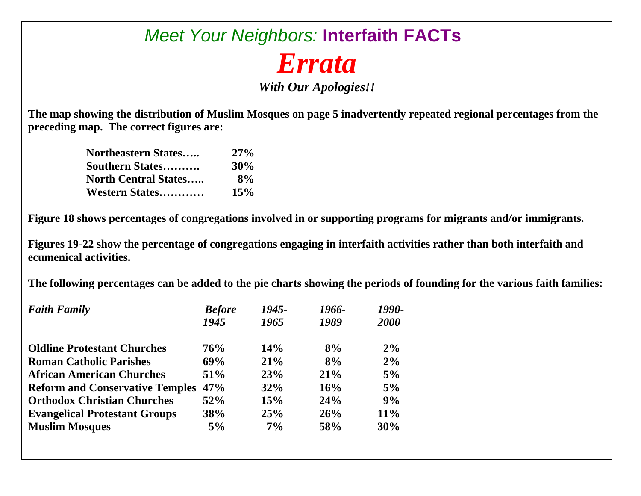## *Meet Your Neighbors:* **Interfaith FACTs**  *Errata*

*With Our Apologies!!* 

**The map showing the distribution of Muslim Mosques on page 5 inadvertently repeated regional percentages from the preceding map. The correct figures are:** 

| <b>Northeastern States</b>  | $27\%$ |
|-----------------------------|--------|
| <b>Southern States</b>      | 30%    |
| <b>North Central States</b> | 8%     |
| Western States              | 15%    |

**Figure 18 shows percentages of congregations involved in or supporting programs for migrants and/or immigrants.** 

**Figures 19-22 show the percentage of congregations engaging in interfaith activities rather than both interfaith and ecumenical activities.** 

**The following percentages can be added to the pie charts showing the periods of founding for the various faith families:** 

| <b>Faith Family</b>                    | <b>Before</b> | 1945- | 1966- | 1990- |
|----------------------------------------|---------------|-------|-------|-------|
|                                        | 1945          | 1965  | 1989  | 2000  |
| <b>Oldline Protestant Churches</b>     | 76%           | 14%   | 8%    | 2%    |
| <b>Roman Catholic Parishes</b>         | 69%           | 21%   | 8%    | 2%    |
| <b>African American Churches</b>       | <b>51%</b>    | 23%   | 21%   | 5%    |
| <b>Reform and Conservative Temples</b> | 47%           | 32%   | 16%   | 5%    |
| <b>Orthodox Christian Churches</b>     | 52%           | 15%   | 24%   | 9%    |
| <b>Evangelical Protestant Groups</b>   | 38%           | 25%   | 26%   | 11%   |
| <b>Muslim Mosques</b>                  | 5%            | $7\%$ | 58%   | 30%   |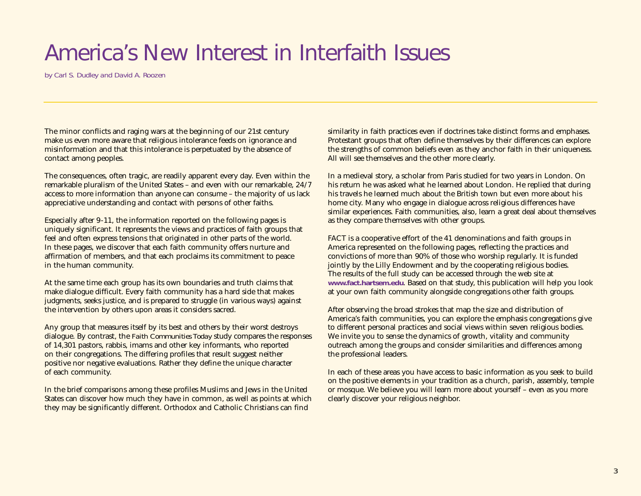# America's New Interest in Interfaith Issues

*by Carl S. Dudley and David A. Roozen*

The minor conflicts and raging wars at the beginning of our 21st century make us even more aware that religious intolerance feeds on ignorance and misinformation and that this intolerance is perpetuated by the absence of contact among peoples.

The consequences, often tragic, are readily apparent every day. Even within the remarkable pluralism of the United States – and even with our remarkable, 24/7 access to more information than anyone can consume – the majority of us lack appreciative understanding and contact with persons of other faiths.

Especially after 9-11, the information reported on the following pages is uniquely significant. It represents the views and practices of faith groups that feel and often express tensions that originated in other parts of the world. In these pages, we discover that each faith community offers nurture and affirmation of members, and that each proclaims its commitment to peace in the human community.

At the same time each group has its own boundaries and truth claims that make dialogue difficult. Every faith community has a hard side that makes judgments, seeks justice, and is prepared to struggle (in various ways) against the intervention by others upon areas it considers sacred.

Any group that measures itself by its best and others by their worst destroys dialogue. By contrast, the *Faith Communities Today* study compares the responses of 14,301 pastors, rabbis, imams and other key informants, who reported on their congregations. The differing profiles that result suggest neither positive nor negative evaluations. Rather they define the unique character of each community.

In the brief comparisons among these profiles Muslims and Jews in the United States can discover how much they have in common, as well as points at which they may be significantly different. Orthodox and Catholic Christians can find

similarity in faith practices even if doctrines take distinct forms and emphases. Protestant groups that often define themselves by their differences can explore the strengths of common beliefs even as they anchor faith in their uniqueness. All will see themselves and the other more clearly.

In a medieval story, a scholar from Paris studied for two years in London. On his return he was asked what he learned about London. He replied that during his travels he learned much about the British town but even more about his home city. Many who engage in dialogue across religious differences have similar experiences. Faith communities, also, learn a great deal about themselves as they compare themselves with other groups.

FACT is a cooperative effort of the 41 denominations and faith groups in America represented on the following pages, reflecting the practices and convictions of more than 90% of those who worship regularly. It is funded jointly by the Lilly Endowment and by the cooperating religious bodies. The results of the full study can be accessed through the web site at **www.fact.hartsem.edu**. Based on that study, this publication will help you look at your own faith community alongside congregations other faith groups.

After observing the broad strokes that map the size and distribution of America's faith communities, you can explore the emphasis congregations give to different personal practices and social views within seven religious bodies. We invite you to sense the dynamics of growth, vitality and community outreach among the groups and consider similarities and differences among the professional leaders.

In each of these areas you have access to basic information as you seek to build on the positive elements in your tradition as a church, parish, assembly, temple or mosque. We believe you will learn more about yourself – even as you more clearly discover your religious neighbor.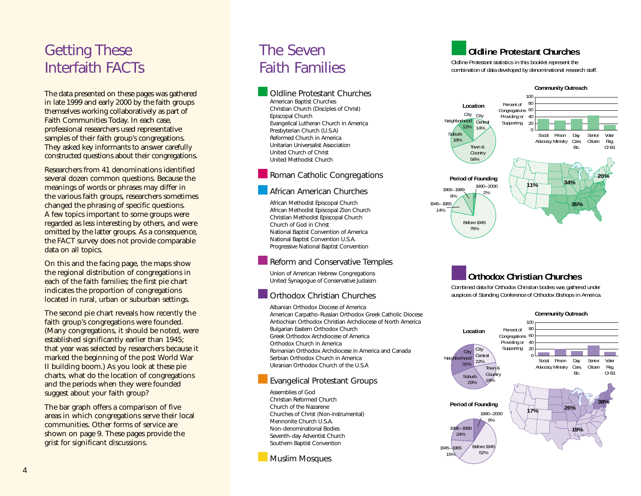### Getting These Interfaith FACTs

The data presented on these pages was gathered in late 1999 and early 2000 by the faith groups themselves working collaboratively as part of Faith Communities Today. In each case, professional researchers used representative samples of their faith group's congregations. They asked key informants to answer carefully constructed questions about their congregations.

Researchers from 41 denominations identified several dozen common questions. Because the meanings of words or phrases may differ in the various faith groups, researchers sometimes changed the phrasing of specific questions. A few topics important to some groups were regarded as less interesting by others, and were omitted by the latter groups. As a consequence, the FACT survey does not provide comparable data on all topics.

On this and the facing page, the maps show the regional distribution of congregations in each of the faith families; the first pie chart indicates the proportion of congregations located in rural, urban or suburban settings.

The second pie chart reveals how recently the faith group's congregations were founded. (Many congregations, it should be noted, were established significantly earlier than 1945; that year was selected by researchers because it marked the beginning of the post World War II building boom.) As you look at these pie charts, what do the location of congregations and the periods when they were founded suggest about your faith group?

The bar graph offers a comparison of five areas in which congregations serve their local communities. Other forms of service are shown on page 9. These pages provide the grist for significant discussions.

### The Seven Faith Families

Oldline Protestant Churches American Baptist Churches Christian Church (Disciples of Christ) Episcopal Church Evangelical Lutheran Church in America Presbyterian Church (U.S.A) Reformed Church in America Unitarian Universalist Association United Church of Christ United Methodist Church

Roman Catholic Congregations

#### African American Churches

African Methodist Episcopal Church African Methodist Episcopal Zion Church Christian Methodist Episcopal Church Church of God in Christ National Baptist Convention of America National Baptist Convention U.S.A. Progressive National Baptist Convention

#### Reform and Conservative Temples

Union of American Hebrew Congregations United Synagogue of Conservative Judaism

#### Orthodox Christian Churches

Albanian Orthodox Diocese of America American Carpatho-Russian Orthodox Greek Catholic Diocese Antiochian Orthodox Christian Archdiocese of North America Bulgarian Eastern Orthodox Church Greek Orthodox Archdiocese of America Orthodox Church in America Romanian Orthodox Archdiocese in America and Canada Serbian Orthodox Church in America Ukranian Orthodox Church of the U.S.A

#### Evangelical Protestant Groups

Assemblies of God Christian Reformed Church Church of the Nazarene Churches of Christ (Non-instrumental) Mennonite Church U.S.A. Non-denominational Bodies Seventh-day Adventist Church Southern Baptist Convention

#### Muslim Mosques

#### **Oldline Protestant Churches**

Oldline Protestant statistics in this booklet represent the combination of data developed by denominational research staff.



#### **Orthodox Christian Churches**

Combined data for Orthodox Christian bodies was gathered under auspices of Standing Conference of Orthodox Bishops in America.

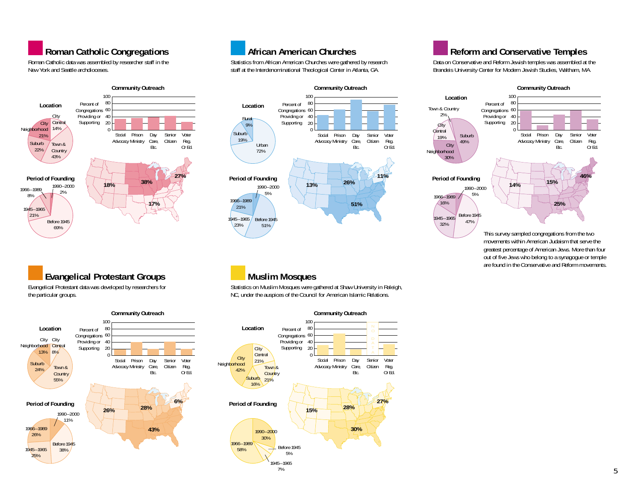#### **Roman Catholic Congregations**

Roman Catholic data was assembled by researcher staff in the New York and Seattle archdioceses.







### **African American Churches**

Statistics from African American Churches were gathered by research staff at the Interdenominational Theological Center in Atlanta, GA.



#### **Muslim Mosques**

Statistics on Muslim Mosques were gathered at Shaw University in Raleigh, NC, under the auspices of the Council for American Islamic Relations.



### **Reform and Conservative Temples**

Data on Conservative and Reform Jewish temples was assembled at the Brandeis University Center for Modern Jewish Studies, Waltham, MA.

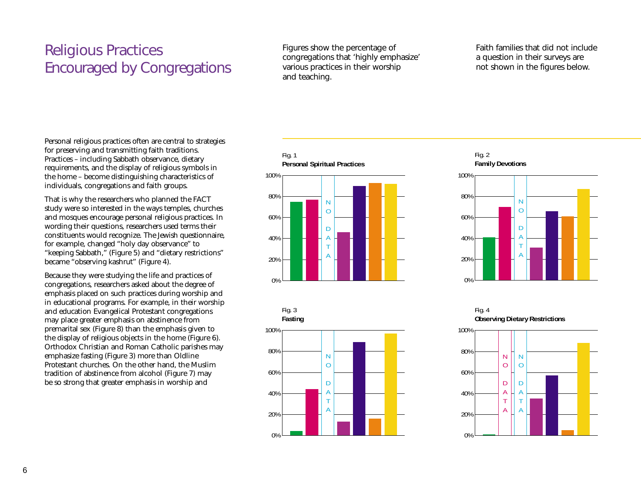### Religious Practices Encouraged by Congregations

Figures show the percentage of congregations that 'highly emphasize' various practices in their worship and teaching.

Faith families that did not include a question in their surveys are not shown in the figures below.

Personal religious practices often are central to strategies for preserving and transmitting faith traditions. Practices – including Sabbath observance, dietary requirements, and the display of religious symbols in the home – become distinguishing characteristics of individuals, congregations and faith groups.

That is why the researchers who planned the FACT study were so interested in the ways temples, churches and mosques encourage personal religious practices. In wording their questions, researchers used terms their constituents would recognize. The Jewish questionnaire, for example, changed "holy day observance" to "keeping Sabbath," (Figure 5) and "dietary restrictions" became "observing kashrut" (Figure 4).

Because they were studying the life and practices of congregations, researchers asked about the degree of emphasis placed on such practices during worship and in educational programs. For example, in their worship and education Evangelical Protestant congregations may place greater emphasis on abstinence from premarital sex (Figure 8) than the emphasis given to the display of religious objects in the home (Figure 6). Orthodox Christian and Roman Catholic parishes may emphasize fasting (Figure 3) more than Oldline Protestant churches. On the other hand, the Muslim tradition of abstinence from alcohol (Figure 7) may be so strong that greater emphasis in worship and







Fig. 2 **Family Devotions**



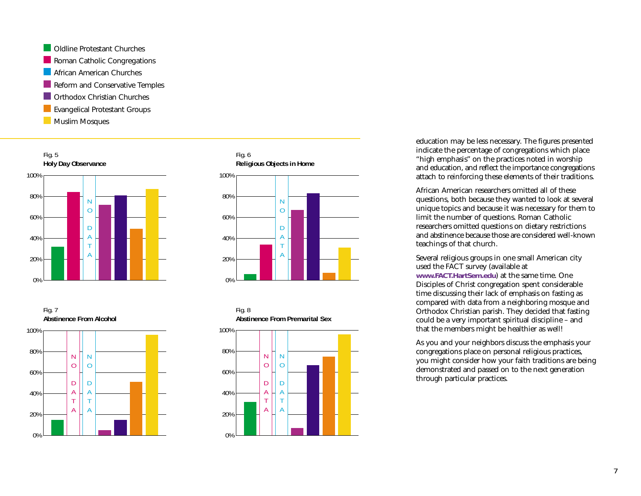**Oldline Protestant Churches** Roman Catholic Congregations **African American Churches** Reform and Conservative Temples **Corthodox Christian Churches Exangelical Protestant Groups Muslim Mosques** 









education may be less necessary. The figures presented indicate the percentage of congregations which place "high emphasis" on the practices noted in worship and education, and reflect the importance congregations attach to reinforcing these elements of their traditions.

African American researchers omitted all of these questions, both because they wanted to look at several unique topics and because it was necessary for them to limit the number of questions. Roman Catholic researchers omitted questions on dietary restrictions and abstinence because those are considered well-known teachings of that church.

Several religious groups in one small American city used the FACT survey (available at **www.FACT.HartSem.edu**) at the same time. One Disciples of Christ congregation spent considerable time discussing their lack of emphasis on fasting as compared with data from a neighboring mosque and Orthodox Christian parish. They decided that fasting could be a very important spiritual discipline – and that the members might be healthier as well!

As you and your neighbors discuss the emphasis your congregations place on personal religious practices, you might consider how your faith traditions are being demonstrated and passed on to the next generation through particular practices.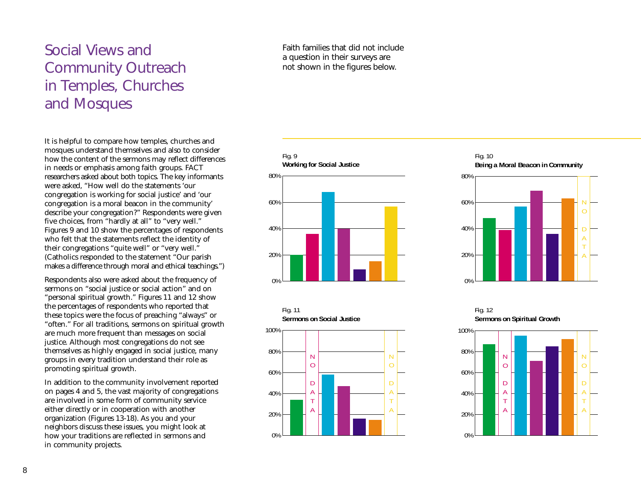### Social Views and Community Outreach in Temples, Churches and Mosques

It is helpful to compare how temples, churches and mosques understand themselves and also to consider how the content of the sermons may reflect differences in needs or emphasis among faith groups. FACT researchers asked about both topics. The key informants were asked, "How well do the statements 'our congregation is working for social justice' and 'our congregation is a moral beacon in the community' describe your congregation?" Respondents were given five choices, from "hardly at all" to "very well." Figures 9 and 10 show the percentages of respondents who felt that the statements reflect the identity of their congregations "quite well" or "very well." (Catholics responded to the statement "Our parish makes a difference through moral and ethical teachings.")

Respondents also were asked about the frequency of sermons on "social justice or social action" and on "personal spiritual growth." Figures 11 and 12 show the percentages of respondents who reported that these topics were the focus of preaching "always" or "often." For all traditions, sermons on spiritual growth are much more frequent than messages on social justice. Although most congregations do not see themselves as highly engaged in social justice, many groups in every tradition understand their role as promoting spiritual growth.

In addition to the community involvement reported on pages 4 and 5, the vast majority of congregations are involved in some form of community service either directly or in cooperation with another organization (Figures 13-18). As you and your neighbors discuss these issues, you might look at how your traditions are reflected in sermons and in community projects.

#### Faith families that did not include a question in their surveys are not shown in the figures below.





#### Fig. 10 **Being a Moral Beacon in Community**



Fig. 12 **Sermons on Spiritual Growth**

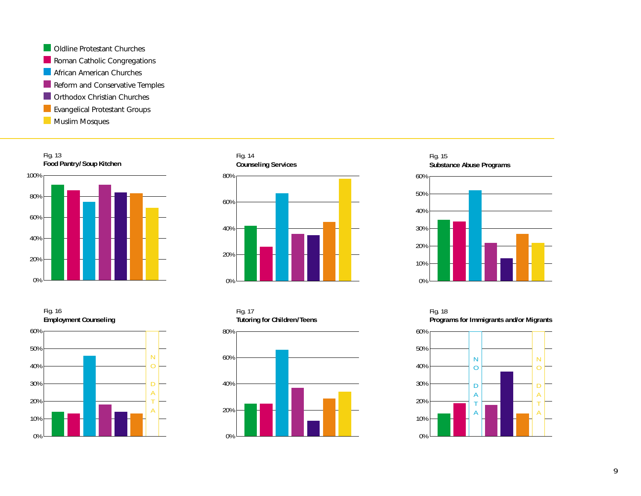**Oldline Protestant Churches** Roman Catholic Congregations **African American Churches** Reform and Conservative Temples **Orthodox Christian Churches Exangelical Protestant Groups Muslim Mosques** 









Fig. 15 **Substance Abuse Programs** 



Fig. 18 **Programs for Immigrants and/or Migrants** 

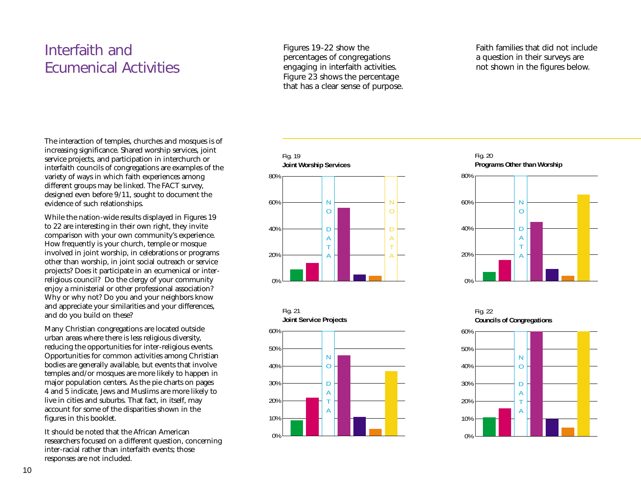### Interfaith and Ecumenical Activities

Figures 19-22 show the percentages of congregations engaging in interfaith activities. Figure 23 shows the percentage that has a clear sense of purpose. Faith families that did not include a question in their surveys are not shown in the figures below.

The interaction of temples, churches and mosques is of increasing significance. Shared worship services, joint service projects, and participation in interchurch or interfaith councils of congregations are examples of the variety of ways in which faith experiences among different groups may be linked. The FACT survey, designed even before 9/11, sought to document the evidence of such relationships.

While the nation-wide results displayed in Figures 19 to 22 are interesting in their own right, they invite comparison with your own community's experience. How frequently is your church, temple or mosque involved in joint worship, in celebrations or programs other than worship, in joint social outreach or service projects? Does it participate in an ecumenical or interreligious council? Do the clergy of your community enjoy a ministerial or other professional association? Why or why not? Do you and your neighbors know and appreciate your similarities and your differences, and do you build on these?

Many Christian congregations are located outside urban areas where there is less religious diversity, reducing the opportunities for inter-religious events. Opportunities for common activities among Christian bodies are generally available, but events that involve temples and/or mosques are more likely to happen in major population centers. As the pie charts on pages 4 and 5 indicate, Jews and Muslims are more likely to live in cities and suburbs. That fact, in itself, may account for some of the disparities shown in the figures in this booklet.

It should be noted that the African American researchers focused on a different question, concerning inter-racial rather than interfaith events; those responses are not included.





#### Fig. 20 **Programs Other than Worship**



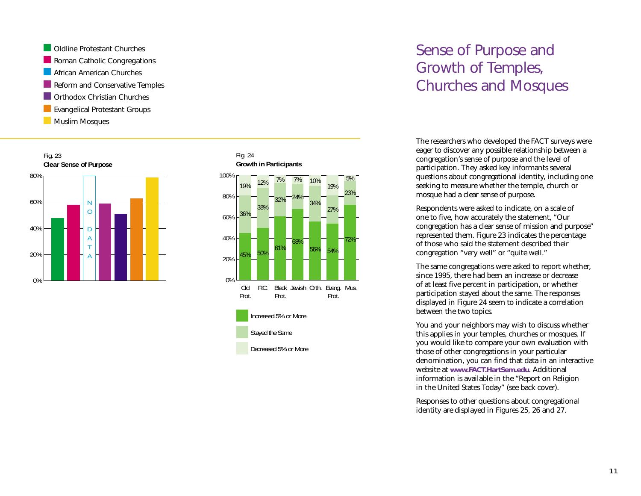





5%

### Increased 5% or More Stayed the Same Decreased 5% or More

Prot.

R.C. Black Jewish Orth. Evang. Mus.

Prot.

0%

Old Prot.

### Sense of Purpose and Growth of Temples, Churches and Mosques

The researchers who developed the FACT surveys were eager to discover any possible relationship between a congregation's sense of purpose and the level of participation. They asked key informants several questions about congregational identity, including one seeking to measure whether the temple, church or mosque had a clear sense of purpose.

Respondents were asked to indicate, on a scale of one to five, how accurately the statement, "Our congregation has a clear sense of mission and purpose" represented them. Figure 23 indicates the percentage of those who said the statement described their congregation "very well" or "quite well."

The same congregations were asked to report whether, since 1995, there had been an increase or decrease of at least five percent in participation, or whether participation stayed about the same. The responses displayed in Figure 24 seem to indicate a correlation between the two topics.

You and your neighbors may wish to discuss whether this applies in your temples, churches or mosques. If you would like to compare your own evaluation with those of other congregations in your particular denomination, you can find that data in an interactive website at **www.FACT.HartSem.edu**. Additional information is available in the "Report on Religion in the United States Today" (see back cover).

Responses to other questions about congregational identity are displayed in Figures 25, 26 and 27.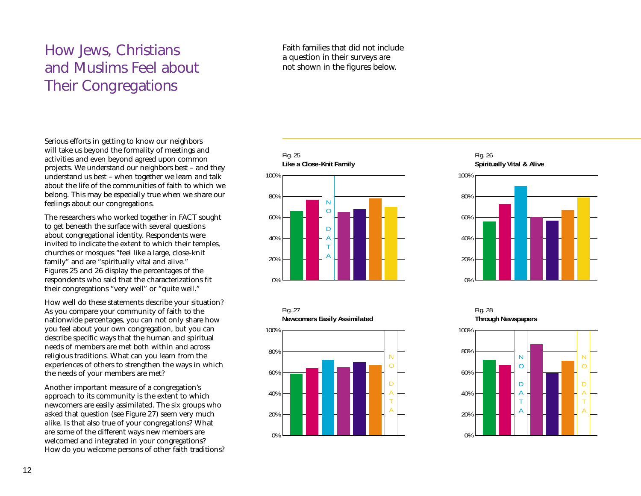### How Jews, Christians and Muslims Feel about Their Congregations

Faith families that did not include a question in their surveys are not shown in the figures below.

Serious efforts in getting to know our neighbors will take us beyond the formality of meetings and activities and even beyond agreed upon common projects. We understand our neighbors best – and they understand us best – when together we learn and talk about the life of the communities of faith to which we belong. This may be especially true when we share our feelings about our congregations.

The researchers who worked together in FACT sought to get beneath the surface with several questions about congregational identity. Respondents were invited to indicate the extent to which their temples, churches or mosques "feel like a large, close-knit family" and are "spiritually vital and alive." Figures 25 and 26 display the percentages of the respondents who said that the characterizations fit their congregations "very well" or "quite well."

How well do these statements describe your situation? As you compare your community of faith to the nationwide percentages, you can not only share how you feel about your own congregation, but you can describe specific ways that the human and spiritual needs of members are met both within and across religious traditions. What can you learn from the experiences of others to strengthen the ways in which the needs of your members are met?

Another important measure of a congregation's approach to its community is the extent to which newcomers are easily assimilated. The six groups who asked that question (see Figure 27) seem very much alike. Is that also true of your congregations? What are some of the different ways new members are welcomed and integrated in your congregations? How do you welcome persons of other faith traditions?





T

#### Fig. 26 **Spiritually Vital & Alive**



Fig. 28 **Through Newspapers**



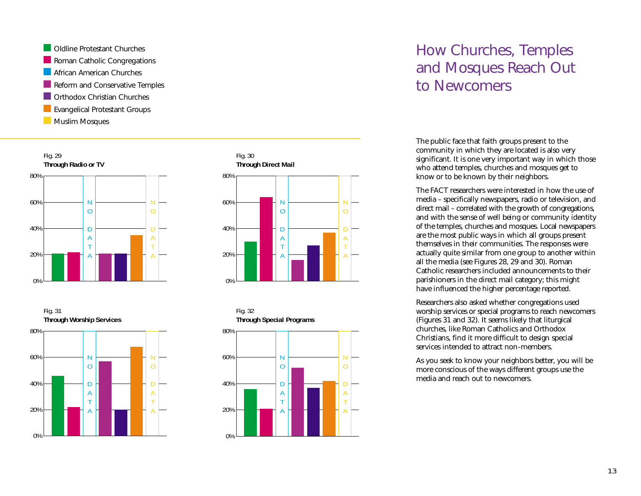Oldline Protestant Churches Roman Catholic Congregations **African American Churches** Reform and Conservative Temples **Corthodox Christian Churches Exangelical Protestant Groups Muslim Mosques** 









### How Churches, Temples and Mosques Reach Out to Newcomers

The public face that faith groups present to the community in which they are located is also very significant. It is one very important way in which those who attend temples, churches and mosques get to know or to be known by their neighbors.

The FACT researchers were interested in how the use of media – specifically newspapers, radio or television, and direct mail – correlated with the growth of congregations, and with the sense of well being or community identity of the temples, churches and mosques. Local newspapers are the most public ways in which all groups present themselves in their communities. The responses were actually quite similar from one group to another within all the media (see Figures 28, 29 and 30). Roman Catholic researchers included announcements to their parishioners in the direct mail category; this might have influenced the higher percentage reported.

Researchers also asked whether congregations used worship services or special programs to reach newcomers (Figures 31 and 32). It seems likely that liturgical churches, like Roman Catholics and Orthodox Christians, find it more difficult to design special services intended to attract non-members.

As you seek to know your neighbors better, you will be more conscious of the ways different groups use the media and reach out to newcomers.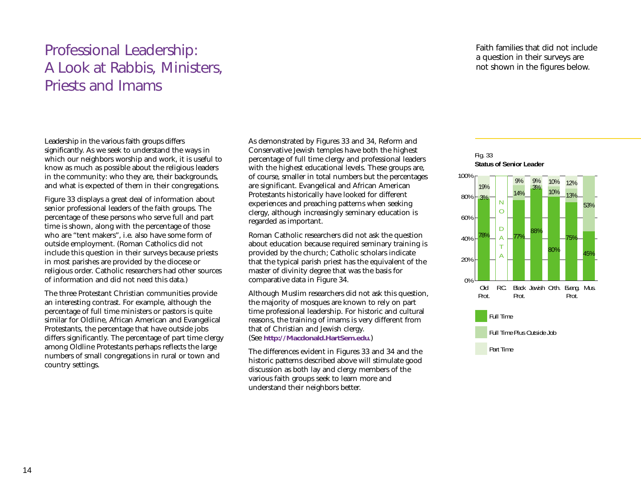### Professional Leadership: A Look at Rabbis, Ministers, Priests and Imams

Leadership in the various faith groups differs significantly. As we seek to understand the ways in which our neighbors worship and work, it is useful to know as much as possible about the religious leaders in the community: who they are, their backgrounds, and what is expected of them in their congregations.

Figure 33 displays a great deal of information about senior professional leaders of the faith groups. The percentage of these persons who serve full and part time is shown, along with the percentage of those who are "tent makers", i.e. also have some form of outside employment. (Roman Catholics did not include this question in their surveys because priests in most parishes are provided by the diocese or religious order. Catholic researchers had other sources of information and did not need this data.)

The three Protestant Christian communities provide an interesting contrast. For example, although the percentage of full time ministers or pastors is quite similar for Oldline, African American and Evangelical Protestants, the percentage that have outside jobs differs significantly. The percentage of part time clergy among Oldline Protestants perhaps reflects the large numbers of small congregations in rural or town and country settings.

As demonstrated by Figures 33 and 34, Reform and Conservative Jewish temples have both the highest percentage of full time clergy and professional leaders with the highest educational levels. These groups are, of course, smaller in total numbers but the percentages are significant. Evangelical and African American Protestants historically have looked for different experiences and preaching patterns when seeking clergy, although increasingly seminary education is regarded as important.

Roman Catholic researchers did not ask the question about education because required seminary training is provided by the church; Catholic scholars indicate that the typical parish priest has the equivalent of the master of divinity degree that was the basis for comparative data in Figure 34.

Although Muslim researchers did not ask this question, the majority of mosques are known to rely on part time professional leadership. For historic and cultural reasons, the training of imams is very different from that of Christian and Jewish clergy. (See **http://Macdonald.HartSem.edu**.)

The differences evident in Figures 33 and 34 and the historic patterns described above will stimulate good discussion as both lay and clergy members of the various faith groups seek to learn more and understand their neighbors better.

Faith families that did not include a question in their surveys are not shown in the figures below.



Part Time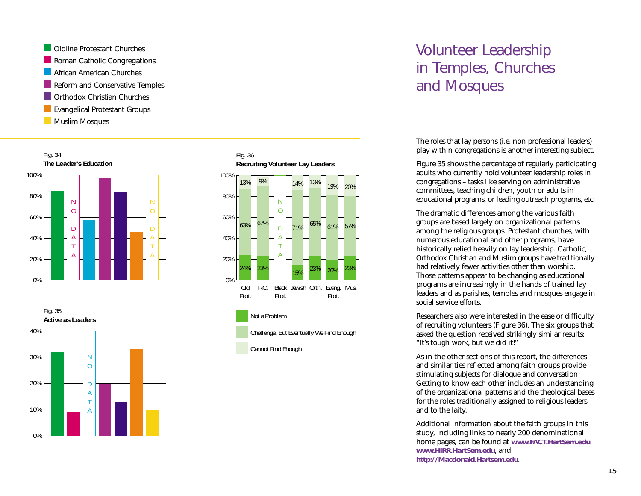Oldline Protestant Churches Roman Catholic Congregations **African American Churches** Reform and Conservative Temples **Corthodox Christian Churches Exangelical Protestant Groups Muslim Mosques** 









### Volunteer Leadership in Temples, Churches and Mosques

The roles that lay persons (i.e. non professional leaders) play within congregations is another interesting subject.

Figure 35 shows the percentage of regularly participating adults who currently hold volunteer leadership roles in congregations – tasks like serving on administrative committees, teaching children, youth or adults in educational programs, or leading outreach programs, etc.

The dramatic differences among the various faith groups are based largely on organizational patterns among the religious groups. Protestant churches, with numerous educational and other programs, have historically relied heavily on lay leadership. Catholic, Orthodox Christian and Muslim groups have traditionally had relatively fewer activities other than worship. Those patterns appear to be changing as educational programs are increasingly in the hands of trained lay leaders and as parishes, temples and mosques engage in social service efforts.

Researchers also were interested in the ease or difficulty of recruiting volunteers (Figure 36). The six groups that asked the question received strikingly similar results: "It's tough work, but we did it!"

As in the other sections of this report, the differences and similarities reflected among faith groups provide stimulating subjects for dialogue and conversation. Getting to know each other includes an understanding of the organizational patterns and the theological bases for the roles traditionally assigned to religious leaders and to the laity.

Additional information about the faith groups in this study, including links to nearly 200 denominational home pages, can be found at **www.FACT.HartSem.edu**, **www.HIRR.HartSem.edu**, and **http://Macdonald.Hartsem.edu**.